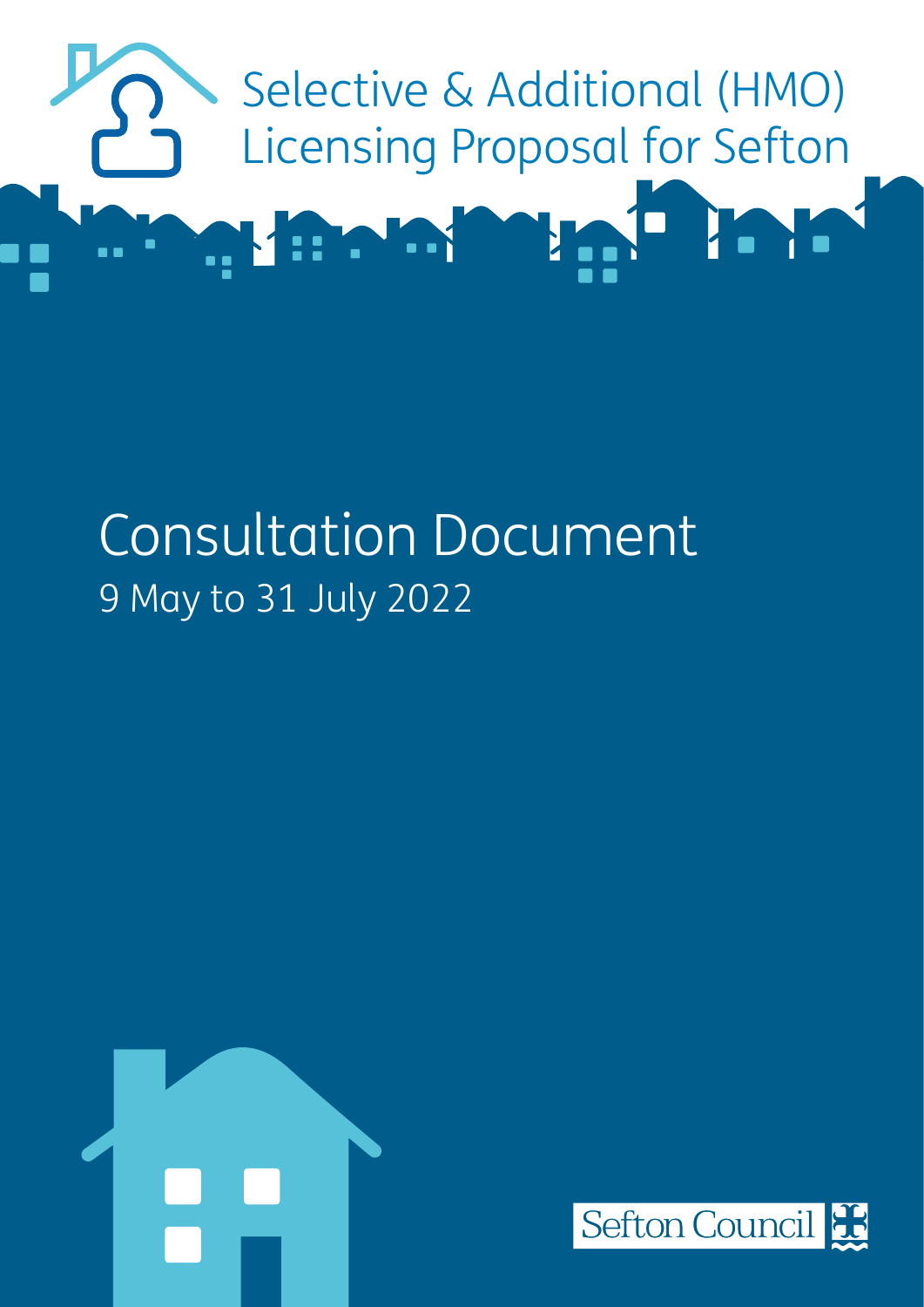

# Consultation Document 9 May to 31 July 2022



![](_page_0_Picture_3.jpeg)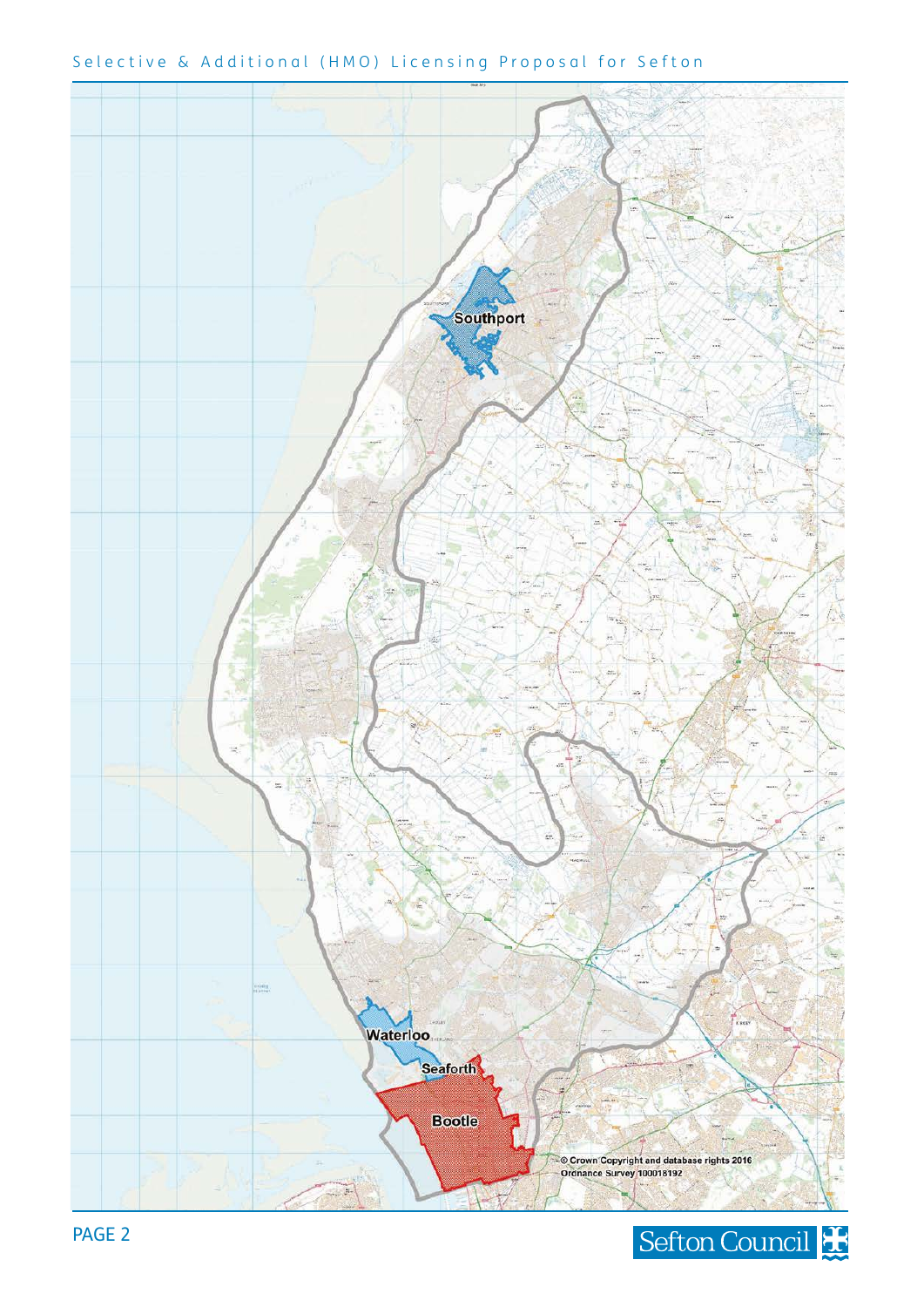![](_page_1_Figure_0.jpeg)

## Selective & Additional (HMO) Licensing Proposal for Sefton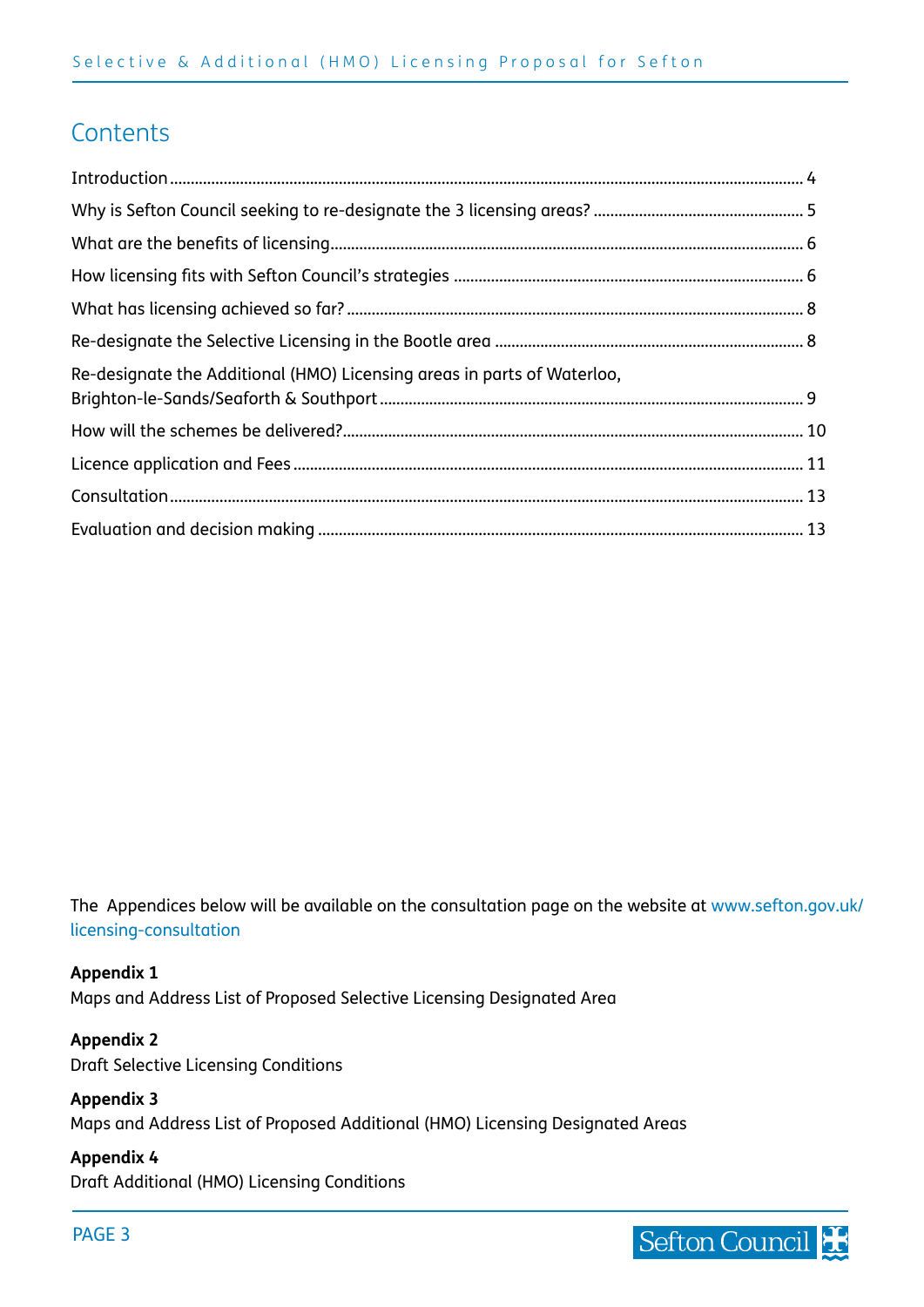# **Contents**

| Re-designate the Additional (HMO) Licensing areas in parts of Waterloo, |  |
|-------------------------------------------------------------------------|--|
|                                                                         |  |
|                                                                         |  |
|                                                                         |  |
|                                                                         |  |

The Appendices below will be available on the consultation page on the website at [www.sefton.gov.uk/](http://www.sefton.gov.uk/licensing-consultation
) [licensing-consultation](http://www.sefton.gov.uk/licensing-consultation
)

#### **Appendix 1**

Maps and Address List of Proposed Selective Licensing Designated Area

#### **Appendix 2**

Draft Selective Licensing Conditions

## **Appendix 3**

Maps and Address List of Proposed Additional (HMO) Licensing Designated Areas

#### **Appendix 4**

Draft Additional (HMO) Licensing Conditions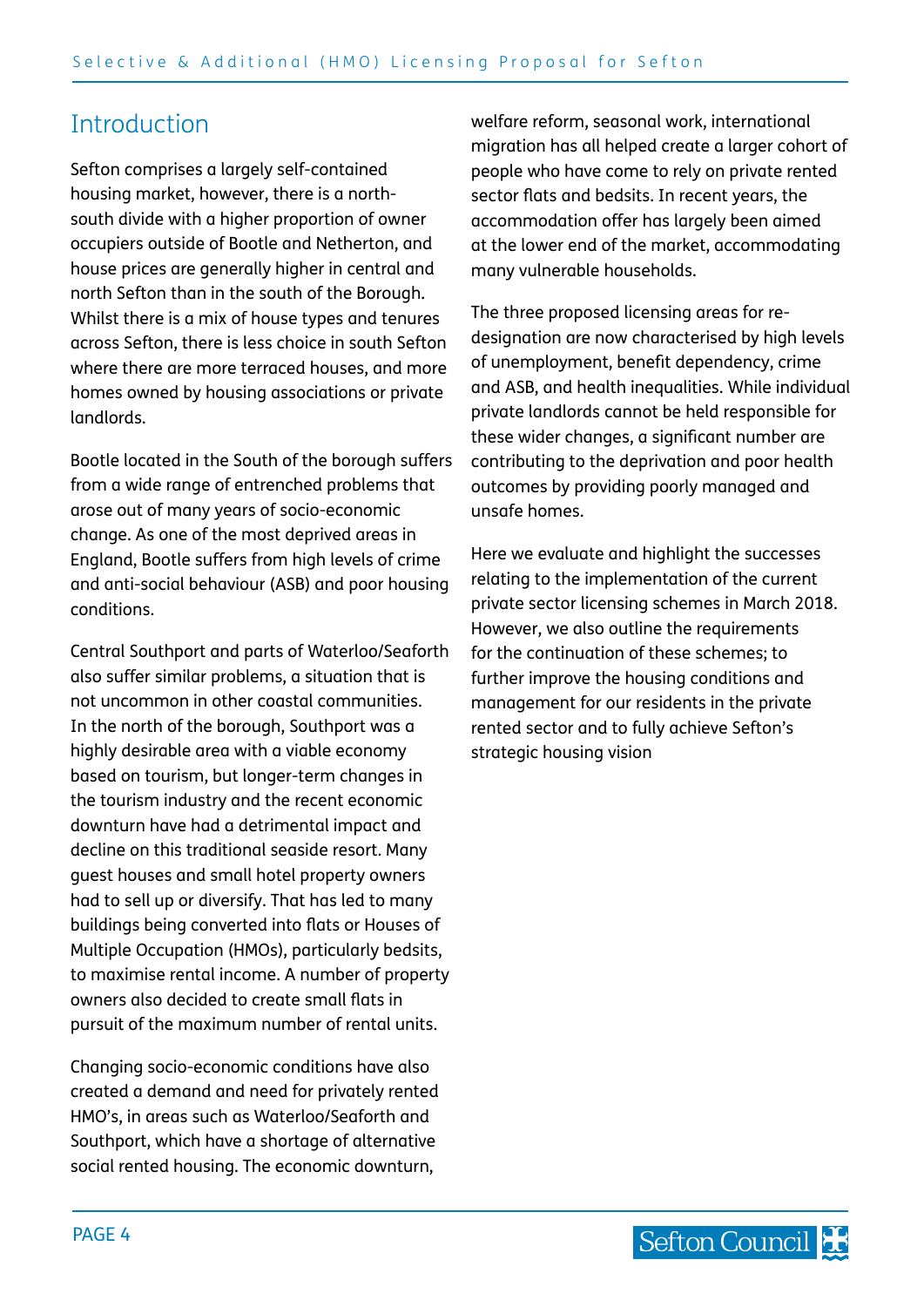# <span id="page-3-0"></span>**Introduction**

Sefton comprises a largely self-contained housing market, however, there is a northsouth divide with a higher proportion of owner occupiers outside of Bootle and Netherton, and house prices are generally higher in central and north Sefton than in the south of the Borough. Whilst there is a mix of house types and tenures across Sefton, there is less choice in south Sefton where there are more terraced houses, and more homes owned by housing associations or private landlords.

Bootle located in the South of the borough suffers from a wide range of entrenched problems that arose out of many years of socio-economic change. As one of the most deprived areas in England, Bootle suffers from high levels of crime and anti-social behaviour (ASB) and poor housing conditions.

Central Southport and parts of Waterloo/Seaforth also suffer similar problems, a situation that is not uncommon in other coastal communities. In the north of the borough, Southport was a highly desirable area with a viable economy based on tourism, but longer-term changes in the tourism industry and the recent economic downturn have had a detrimental impact and decline on this traditional seaside resort. Many guest houses and small hotel property owners had to sell up or diversify. That has led to many buildings being converted into flats or Houses of Multiple Occupation (HMOs), particularly bedsits, to maximise rental income. A number of property owners also decided to create small flats in pursuit of the maximum number of rental units.

Changing socio-economic conditions have also created a demand and need for privately rented HMO's, in areas such as Waterloo/Seaforth and Southport, which have a shortage of alternative social rented housing. The economic downturn,

welfare reform, seasonal work, international migration has all helped create a larger cohort of people who have come to rely on private rented sector flats and bedsits. In recent years, the accommodation offer has largely been aimed at the lower end of the market, accommodating many vulnerable households.

The three proposed licensing areas for redesignation are now characterised by high levels of unemployment, benefit dependency, crime and ASB, and health inequalities. While individual private landlords cannot be held responsible for these wider changes, a significant number are contributing to the deprivation and poor health outcomes by providing poorly managed and unsafe homes.

Here we evaluate and highlight the successes relating to the implementation of the current private sector licensing schemes in March 2018. However, we also outline the requirements for the continuation of these schemes; to further improve the housing conditions and management for our residents in the private rented sector and to fully achieve Sefton's strategic housing vision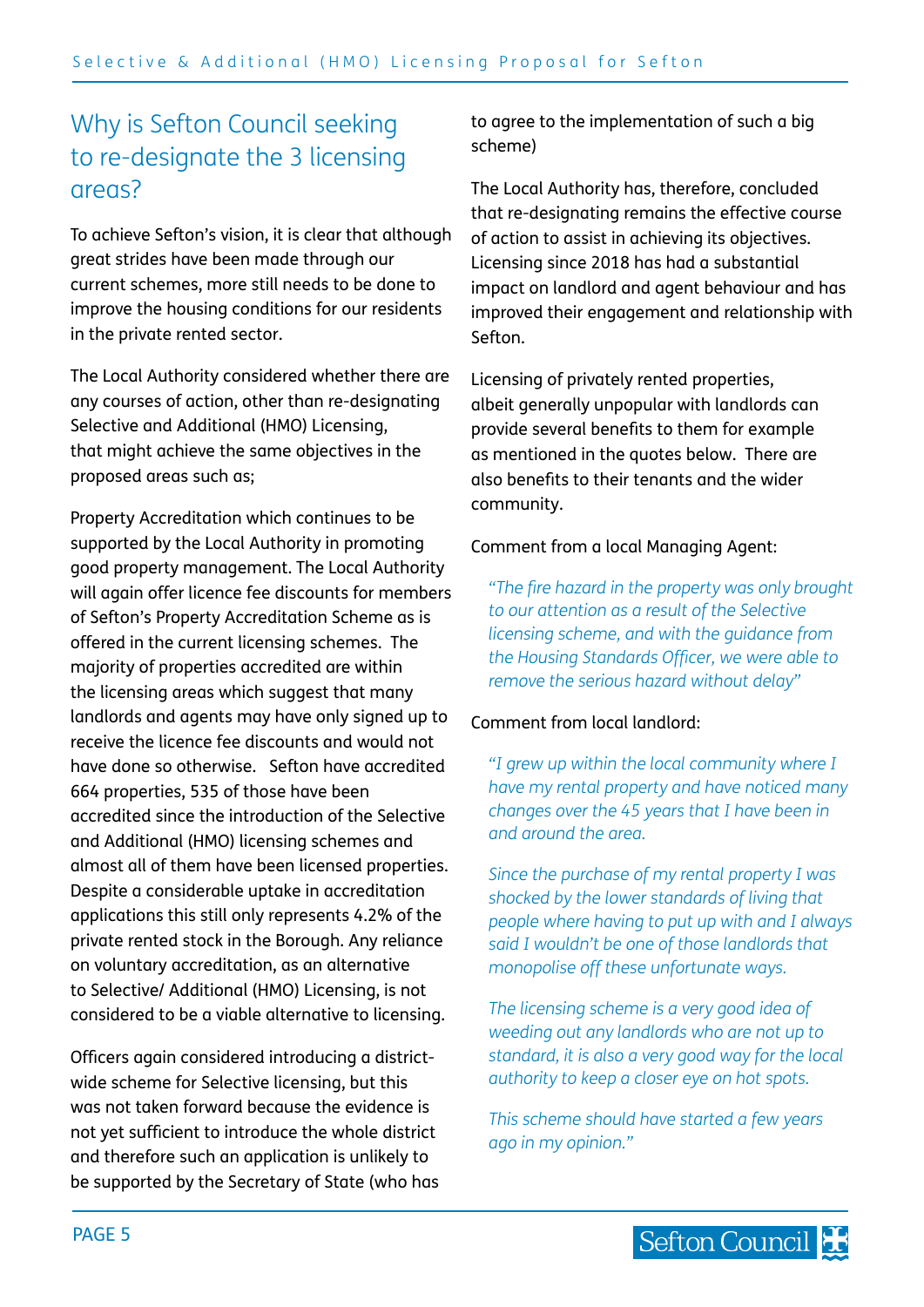# <span id="page-4-0"></span>Why is Sefton Council seeking to re-designate the 3 licensing areas?

To achieve Sefton's vision, it is clear that although great strides have been made through our current schemes, more still needs to be done to improve the housing conditions for our residents in the private rented sector.

The Local Authority considered whether there are any courses of action, other than re-designating Selective and Additional (HMO) Licensing, that might achieve the same objectives in the proposed areas such as;

Property Accreditation which continues to be supported by the Local Authority in promoting good property management. The Local Authority will again offer licence fee discounts for members of Sefton's Property Accreditation Scheme as is offered in the current licensing schemes. The majority of properties accredited are within the licensing areas which suggest that many landlords and agents may have only signed up to receive the licence fee discounts and would not have done so otherwise. Sefton have accredited 664 properties, 535 of those have been accredited since the introduction of the Selective and Additional (HMO) licensing schemes and almost all of them have been licensed properties. Despite a considerable uptake in accreditation applications this still only represents 4.2% of the private rented stock in the Borough. Any reliance on voluntary accreditation, as an alternative to Selective/ Additional (HMO) Licensing, is not considered to be a viable alternative to licensing.

Officers again considered introducing a districtwide scheme for Selective licensing, but this was not taken forward because the evidence is not yet sufficient to introduce the whole district and therefore such an application is unlikely to be supported by the Secretary of State (who has to agree to the implementation of such a big scheme)

The Local Authority has, therefore, concluded that re-designating remains the effective course of action to assist in achieving its objectives. Licensing since 2018 has had a substantial impact on landlord and agent behaviour and has improved their engagement and relationship with Sefton.

Licensing of privately rented properties, albeit generally unpopular with landlords can provide several benefits to them for example as mentioned in the quotes below. There are also benefits to their tenants and the wider community.

#### Comment from a local Managing Agent:

*"The fire hazard in the property was only brought to our attention as a result of the Selective licensing scheme, and with the guidance from the Housing Standards Officer, we were able to remove the serious hazard without delay"*

#### Comment from local landlord:

*"I grew up within the local community where I have my rental property and have noticed many changes over the 45 years that I have been in and around the area.*

*Since the purchase of my rental property I was shocked by the lower standards of living that people where having to put up with and I always said I wouldn't be one of those landlords that monopolise off these unfortunate ways.*

*The licensing scheme is a very good idea of weeding out any landlords who are not up to standard, it is also a very good way for the local authority to keep a closer eye on hot spots.*

*This scheme should have started a few years ago in my opinion."*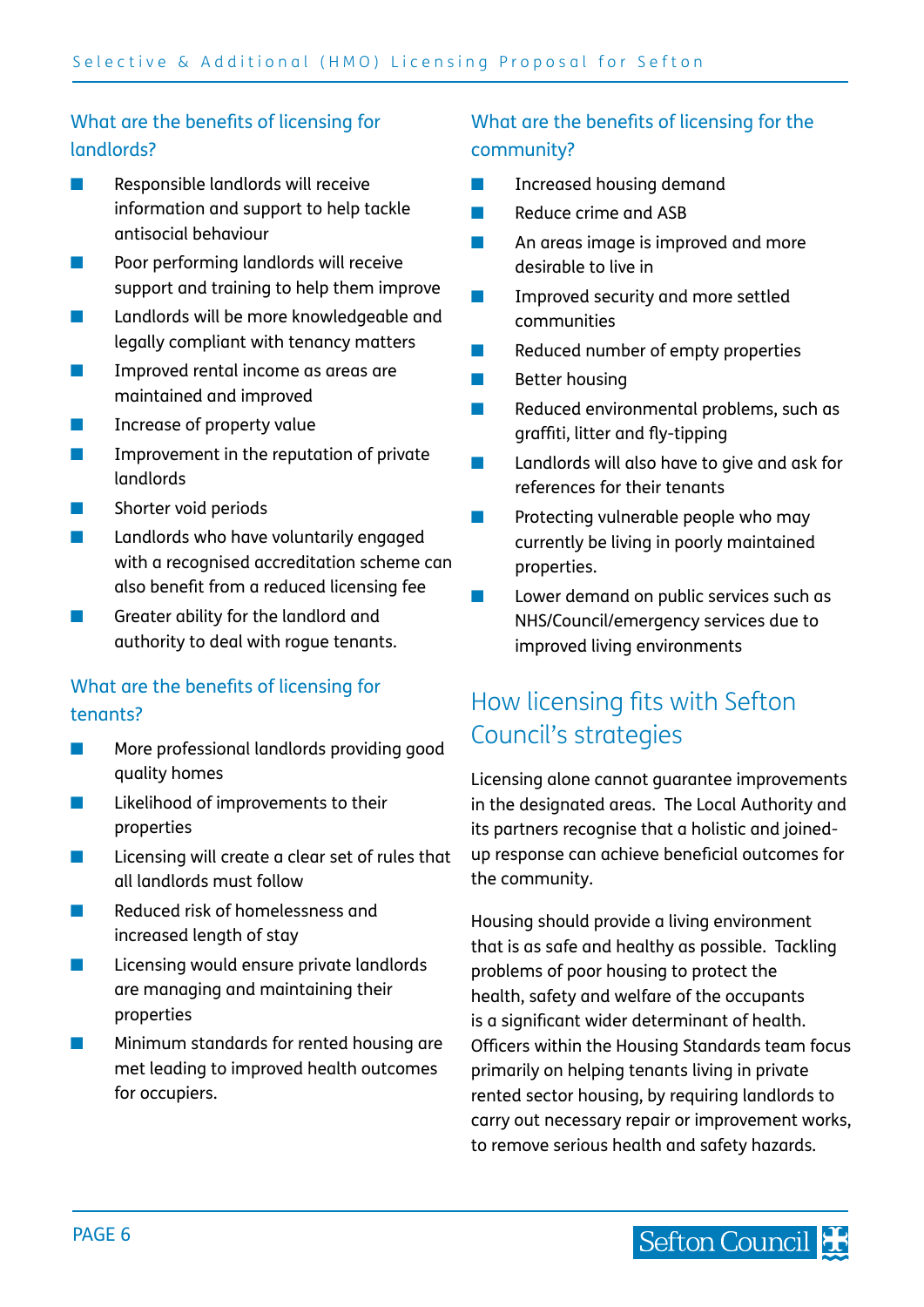# <span id="page-5-0"></span>What are the benefits of licensing for landlords?

- Responsible landlords will receive information and support to help tackle antisocial behaviour
- Poor performing landlords will receive support and training to help them improve
- Landlords will be more knowledgeable and legally compliant with tenancy matters
- Improved rental income as areas are maintained and improved
- Increase of property value
- Improvement in the reputation of private landlords
- Shorter void periods
- Landlords who have voluntarily engaged with a recognised accreditation scheme can also benefit from a reduced licensing fee
- Greater ability for the landlord and authority to deal with rogue tenants.

### What are the benefits of licensing for tenants?

- More professional landlords providing good quality homes
- Likelihood of improvements to their properties
- Licensing will create a clear set of rules that all landlords must follow
- Reduced risk of homelessness and increased length of stay
- Licensing would ensure private landlords are managing and maintaining their properties
- Minimum standards for rented housing are met leading to improved health outcomes for occupiers.

# What are the benefits of licensing for the community?

- Increased housing demand
- Reduce crime and ASB
- An areas image is improved and more desirable to live in
- **■** Improved security and more settled communities
- Reduced number of empty properties
- Better housing
- Reduced environmental problems, such as graffiti, litter and fly-tipping
- Landlords will also have to give and ask for references for their tenants
- Protecting vulnerable people who may currently be living in poorly maintained properties.
- Lower demand on public services such as NHS/Council/emergency services due to improved living environments

# How licensing fits with Sefton Council's strategies

Licensing alone cannot guarantee improvements in the designated areas. The Local Authority and its partners recognise that a holistic and joinedup response can achieve beneficial outcomes for the community.

Housing should provide a living environment that is as safe and healthy as possible. Tackling problems of poor housing to protect the health, safety and welfare of the occupants is a significant wider determinant of health. Officers within the Housing Standards team focus primarily on helping tenants living in private rented sector housing, by requiring landlords to carry out necessary repair or improvement works, to remove serious health and safety hazards.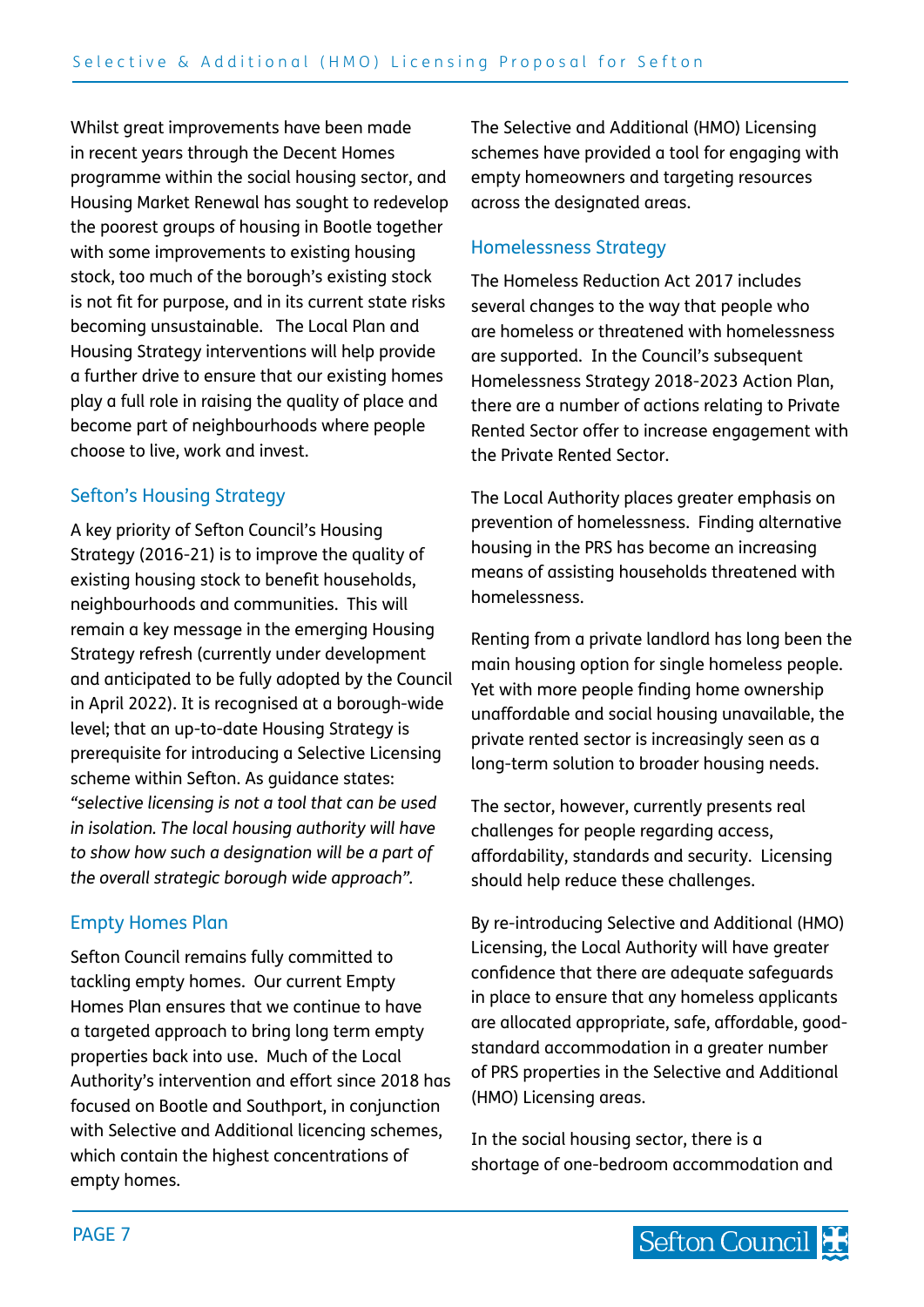Whilst great improvements have been made in recent years through the Decent Homes programme within the social housing sector, and Housing Market Renewal has sought to redevelop the poorest groups of housing in Bootle together with some improvements to existing housing stock, too much of the borough's existing stock is not fit for purpose, and in its current state risks becoming unsustainable. The Local Plan and Housing Strategy interventions will help provide a further drive to ensure that our existing homes play a full role in raising the quality of place and become part of neighbourhoods where people choose to live, work and invest.

## Sefton's Housing Strategy

A key priority of Sefton Council's Housing Strategy (2016-21) is to improve the quality of existing housing stock to benefit households, neighbourhoods and communities. This will remain a key message in the emerging Housing Strategy refresh (currently under development and anticipated to be fully adopted by the Council in April 2022). It is recognised at a borough-wide level; that an up-to-date Housing Strategy is prerequisite for introducing a Selective Licensing scheme within Sefton. As guidance states: *"selective licensing is not a tool that can be used in isolation. The local housing authority will have to show how such a designation will be a part of the overall strategic borough wide approach".*

## Empty Homes Plan

Sefton Council remains fully committed to tackling empty homes. Our current Empty Homes Plan ensures that we continue to have a targeted approach to bring long term empty properties back into use. Much of the Local Authority's intervention and effort since 2018 has focused on Bootle and Southport, in conjunction with Selective and Additional licencing schemes, which contain the highest concentrations of empty homes.

The Selective and Additional (HMO) Licensing schemes have provided a tool for engaging with empty homeowners and targeting resources across the designated areas.

## Homelessness Strategy

The Homeless Reduction Act 2017 includes several changes to the way that people who are homeless or threatened with homelessness are supported. In the Council's subsequent Homelessness Strategy 2018-2023 Action Plan, there are a number of actions relating to Private Rented Sector offer to increase engagement with the Private Rented Sector.

The Local Authority places greater emphasis on prevention of homelessness. Finding alternative housing in the PRS has become an increasing means of assisting households threatened with homelessness.

Renting from a private landlord has long been the main housing option for single homeless people. Yet with more people finding home ownership unaffordable and social housing unavailable, the private rented sector is increasingly seen as a long-term solution to broader housing needs.

The sector, however, currently presents real challenges for people regarding access, affordability, standards and security. Licensing should help reduce these challenges.

By re-introducing Selective and Additional (HMO) Licensing, the Local Authority will have greater confidence that there are adequate safeguards in place to ensure that any homeless applicants are allocated appropriate, safe, affordable, goodstandard accommodation in a greater number of PRS properties in the Selective and Additional (HMO) Licensing areas.

In the social housing sector, there is a shortage of one-bedroom accommodation and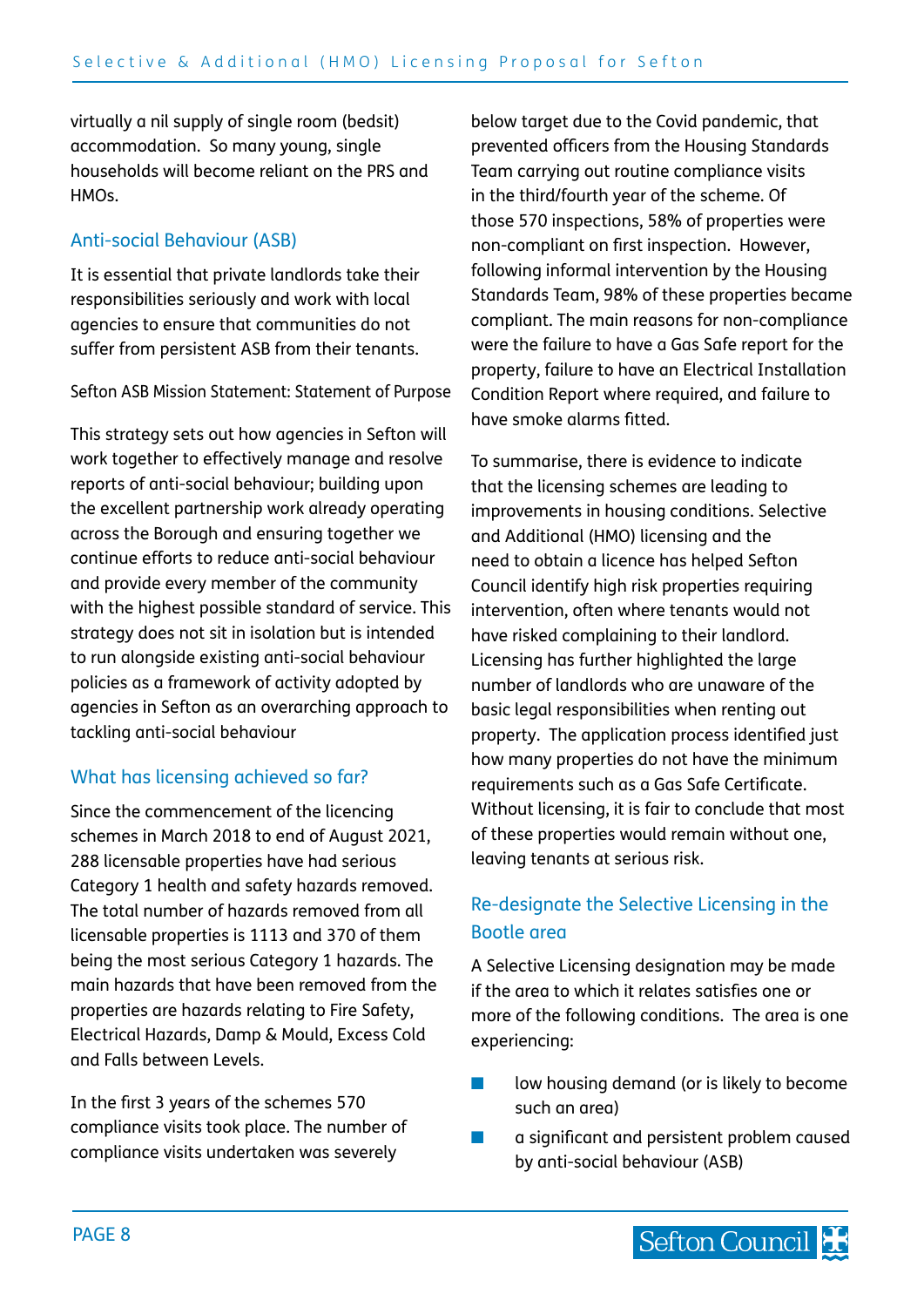<span id="page-7-0"></span>virtually a nil supply of single room (bedsit) accommodation. So many young, single households will become reliant on the PRS and HMOs.

#### Anti-social Behaviour (ASB)

It is essential that private landlords take their responsibilities seriously and work with local agencies to ensure that communities do not suffer from persistent ASB from their tenants.

Sefton ASB Mission Statement: Statement of Purpose

This strategy sets out how agencies in Sefton will work together to effectively manage and resolve reports of anti-social behaviour; building upon the excellent partnership work already operating across the Borough and ensuring together we continue efforts to reduce anti-social behaviour and provide every member of the community with the highest possible standard of service. This strategy does not sit in isolation but is intended to run alongside existing anti-social behaviour policies as a framework of activity adopted by agencies in Sefton as an overarching approach to tackling anti-social behaviour

#### What has licensing achieved so far?

Since the commencement of the licencing schemes in March 2018 to end of August 2021, 288 licensable properties have had serious Category 1 health and safety hazards removed. The total number of hazards removed from all licensable properties is 1113 and 370 of them being the most serious Category 1 hazards. The main hazards that have been removed from the properties are hazards relating to Fire Safety, Electrical Hazards, Damp & Mould, Excess Cold and Falls between Levels.

In the first 3 years of the schemes 570 compliance visits took place. The number of compliance visits undertaken was severely

below target due to the Covid pandemic, that prevented officers from the Housing Standards Team carrying out routine compliance visits in the third/fourth year of the scheme. Of those 570 inspections, 58% of properties were non-compliant on first inspection. However, following informal intervention by the Housing Standards Team, 98% of these properties became compliant. The main reasons for non-compliance were the failure to have a Gas Safe report for the property, failure to have an Electrical Installation Condition Report where required, and failure to have smoke alarms fitted.

To summarise, there is evidence to indicate that the licensing schemes are leading to improvements in housing conditions. Selective and Additional (HMO) licensing and the need to obtain a licence has helped Sefton Council identify high risk properties requiring intervention, often where tenants would not have risked complaining to their landlord. Licensing has further highlighted the large number of landlords who are unaware of the basic legal responsibilities when renting out property. The application process identified just how many properties do not have the minimum requirements such as a Gas Safe Certificate. Without licensing, it is fair to conclude that most of these properties would remain without one, leaving tenants at serious risk.

# Re-designate the Selective Licensing in the Bootle area

A Selective Licensing designation may be made if the area to which it relates satisfies one or more of the following conditions. The area is one experiencing:

- low housing demand (or is likely to become such an area)
- a significant and persistent problem caused by anti-social behaviour (ASB)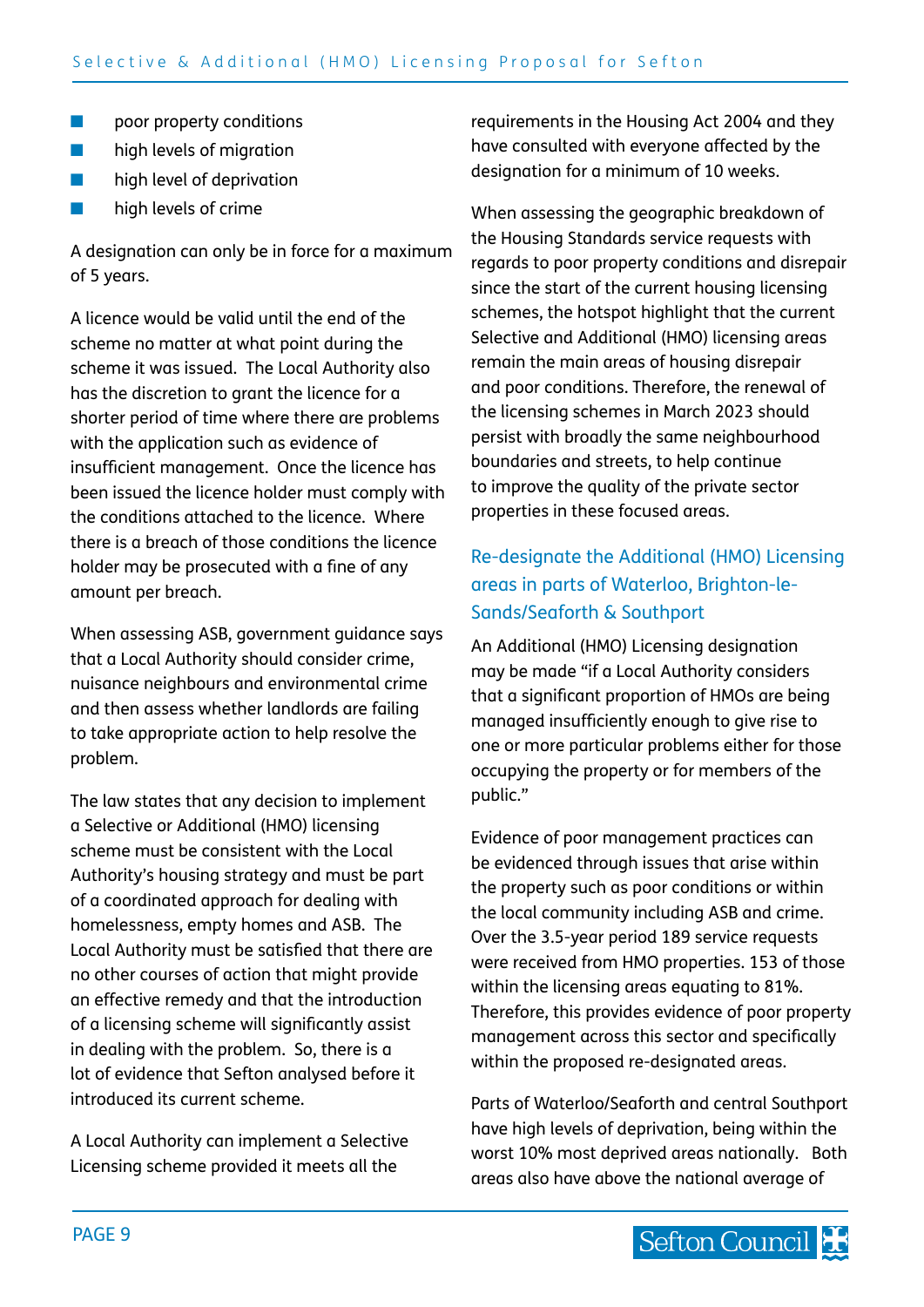- <span id="page-8-0"></span>■ poor property conditions
- high levels of migration
- high level of deprivation
- high levels of crime

A designation can only be in force for a maximum of 5 years.

A licence would be valid until the end of the scheme no matter at what point during the scheme it was issued. The Local Authority also has the discretion to grant the licence for a shorter period of time where there are problems with the application such as evidence of insufficient management. Once the licence has been issued the licence holder must comply with the conditions attached to the licence. Where there is a breach of those conditions the licence holder may be prosecuted with a fine of any amount per breach.

When assessing ASB, government guidance says that a Local Authority should consider crime, nuisance neighbours and environmental crime and then assess whether landlords are failing to take appropriate action to help resolve the problem.

The law states that any decision to implement a Selective or Additional (HMO) licensing scheme must be consistent with the Local Authority's housing strategy and must be part of a coordinated approach for dealing with homelessness, empty homes and ASB. The Local Authority must be satisfied that there are no other courses of action that might provide an effective remedy and that the introduction of a licensing scheme will significantly assist in dealing with the problem. So, there is a lot of evidence that Sefton analysed before it introduced its current scheme.

A Local Authority can implement a Selective Licensing scheme provided it meets all the

requirements in the Housing Act 2004 and they have consulted with everyone affected by the designation for a minimum of 10 weeks.

When assessing the geographic breakdown of the Housing Standards service requests with regards to poor property conditions and disrepair since the start of the current housing licensing schemes, the hotspot highlight that the current Selective and Additional (HMO) licensing areas remain the main areas of housing disrepair and poor conditions. Therefore, the renewal of the licensing schemes in March 2023 should persist with broadly the same neighbourhood boundaries and streets, to help continue to improve the quality of the private sector properties in these focused areas.

# Re-designate the Additional (HMO) Licensing areas in parts of Waterloo, Brighton-le-Sands/Seaforth & Southport

An Additional (HMO) Licensing designation may be made "if a Local Authority considers that a significant proportion of HMOs are being managed insufficiently enough to give rise to one or more particular problems either for those occupying the property or for members of the public."

Evidence of poor management practices can be evidenced through issues that arise within the property such as poor conditions or within the local community including ASB and crime. Over the 3.5-year period 189 service requests were received from HMO properties. 153 of those within the licensing areas equating to 81%. Therefore, this provides evidence of poor property management across this sector and specifically within the proposed re-designated areas.

Parts of Waterloo/Seaforth and central Southport have high levels of deprivation, being within the worst 10% most deprived areas nationally. Both areas also have above the national average of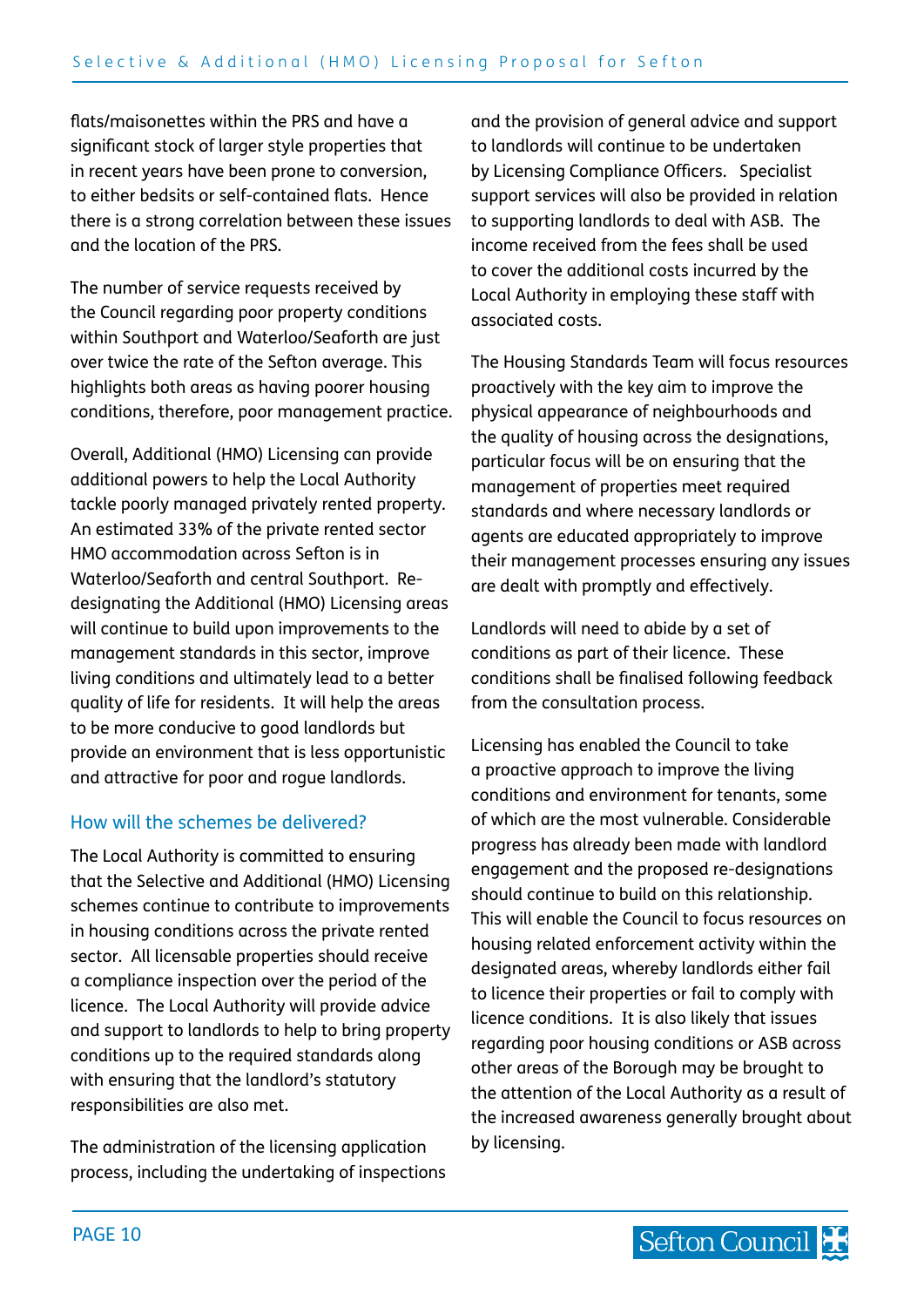<span id="page-9-0"></span>flats/maisonettes within the PRS and have a significant stock of larger style properties that in recent years have been prone to conversion, to either bedsits or self-contained flats. Hence there is a strong correlation between these issues and the location of the PRS.

The number of service requests received by the Council regarding poor property conditions within Southport and Waterloo/Seaforth are just over twice the rate of the Sefton average. This highlights both areas as having poorer housing conditions, therefore, poor management practice.

Overall, Additional (HMO) Licensing can provide additional powers to help the Local Authority tackle poorly managed privately rented property. An estimated 33% of the private rented sector HMO accommodation across Sefton is in Waterloo/Seaforth and central Southport. Redesignating the Additional (HMO) Licensing areas will continue to build upon improvements to the management standards in this sector, improve living conditions and ultimately lead to a better quality of life for residents. It will help the areas to be more conducive to good landlords but provide an environment that is less opportunistic and attractive for poor and rogue landlords.

## How will the schemes be delivered?

The Local Authority is committed to ensuring that the Selective and Additional (HMO) Licensing schemes continue to contribute to improvements in housing conditions across the private rented sector. All licensable properties should receive a compliance inspection over the period of the licence. The Local Authority will provide advice and support to landlords to help to bring property conditions up to the required standards along with ensuring that the landlord's statutory responsibilities are also met.

The administration of the licensing application process, including the undertaking of inspections and the provision of general advice and support to landlords will continue to be undertaken by Licensing Compliance Officers. Specialist support services will also be provided in relation to supporting landlords to deal with ASB. The income received from the fees shall be used to cover the additional costs incurred by the Local Authority in employing these staff with associated costs.

The Housing Standards Team will focus resources proactively with the key aim to improve the physical appearance of neighbourhoods and the quality of housing across the designations, particular focus will be on ensuring that the management of properties meet required standards and where necessary landlords or agents are educated appropriately to improve their management processes ensuring any issues are dealt with promptly and effectively.

Landlords will need to abide by a set of conditions as part of their licence. These conditions shall be finalised following feedback from the consultation process.

Licensing has enabled the Council to take a proactive approach to improve the living conditions and environment for tenants, some of which are the most vulnerable. Considerable progress has already been made with landlord engagement and the proposed re-designations should continue to build on this relationship. This will enable the Council to focus resources on housing related enforcement activity within the designated areas, whereby landlords either fail to licence their properties or fail to comply with licence conditions. It is also likely that issues regarding poor housing conditions or ASB across other areas of the Borough may be brought to the attention of the Local Authority as a result of the increased awareness generally brought about by licensing.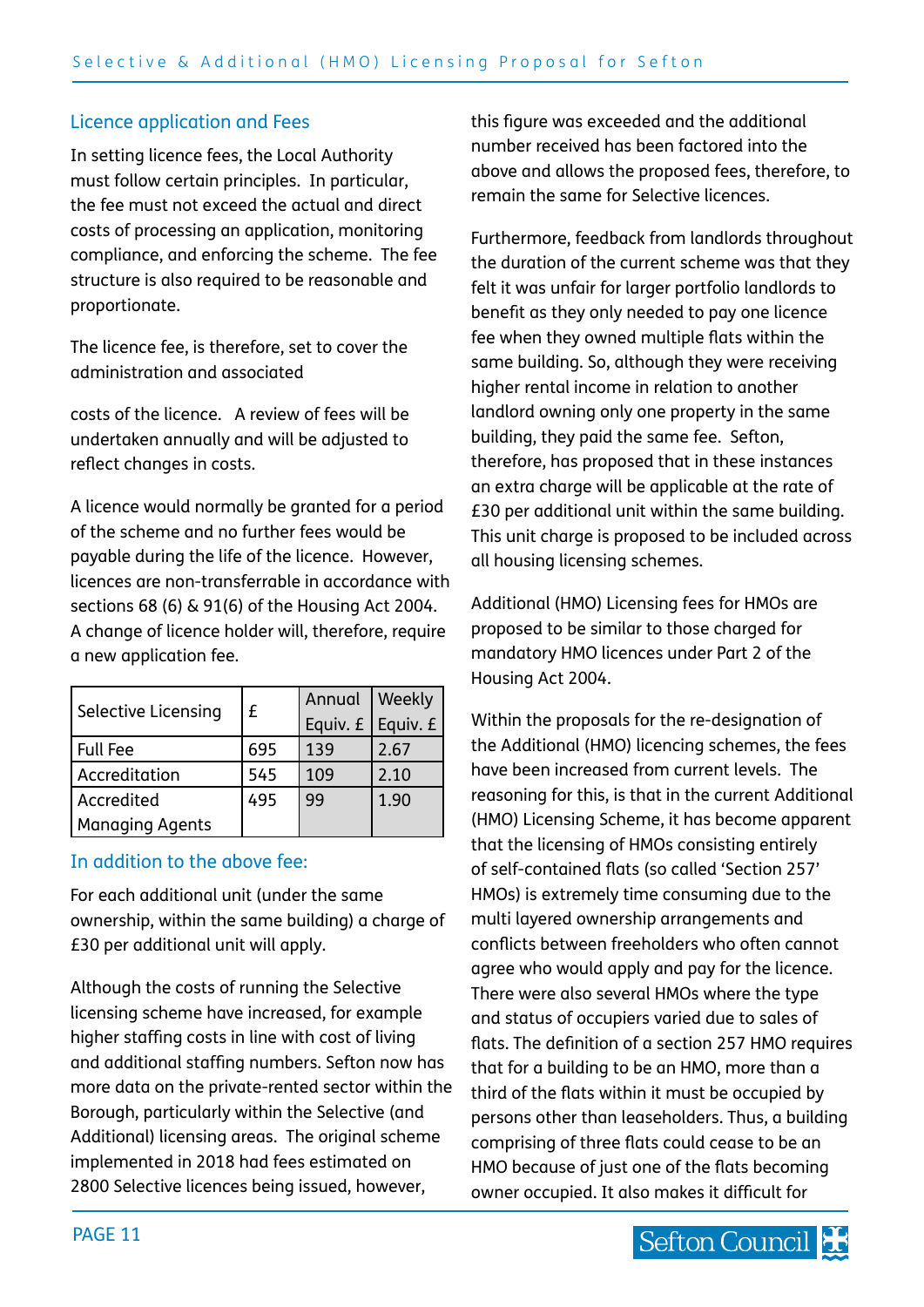### <span id="page-10-0"></span>Licence application and Fees

In setting licence fees, the Local Authority must follow certain principles. In particular, the fee must not exceed the actual and direct costs of processing an application, monitoring compliance, and enforcing the scheme. The fee structure is also required to be reasonable and proportionate.

The licence fee, is therefore, set to cover the administration and associated

costs of the licence. A review of fees will be undertaken annually and will be adjusted to reflect changes in costs.

A licence would normally be granted for a period of the scheme and no further fees would be payable during the life of the licence. However, licences are non-transferrable in accordance with sections 68 (6) & 91(6) of the Housing Act 2004. A change of licence holder will, therefore, require a new application fee.

| Selective Licensing | £   | Annual                  | Weekly |
|---------------------|-----|-------------------------|--------|
|                     |     | Equiv. $f$   Equiv. $f$ |        |
| <b>Full Fee</b>     | 695 | 139                     | 2.67   |
| Accreditation       | 545 | 109                     | 2.10   |
| Accredited          | 495 | 99                      | 1.90   |
| Managing Agents     |     |                         |        |

#### In addition to the above fee:

For each additional unit (under the same ownership, within the same building) a charge of £30 per additional unit will apply.

Although the costs of running the Selective licensing scheme have increased, for example higher staffing costs in line with cost of living and additional staffing numbers. Sefton now has more data on the private-rented sector within the Borough, particularly within the Selective (and Additional) licensing areas. The original scheme implemented in 2018 had fees estimated on 2800 Selective licences being issued, however,

this figure was exceeded and the additional number received has been factored into the above and allows the proposed fees, therefore, to remain the same for Selective licences.

Furthermore, feedback from landlords throughout the duration of the current scheme was that they felt it was unfair for larger portfolio landlords to benefit as they only needed to pay one licence fee when they owned multiple flats within the same building. So, although they were receiving higher rental income in relation to another landlord owning only one property in the same building, they paid the same fee. Sefton, therefore, has proposed that in these instances an extra charge will be applicable at the rate of £30 per additional unit within the same building. This unit charge is proposed to be included across all housing licensing schemes.

Additional (HMO) Licensing fees for HMOs are proposed to be similar to those charged for mandatory HMO licences under Part 2 of the Housing Act 2004.

Within the proposals for the re-designation of the Additional (HMO) licencing schemes, the fees have been increased from current levels. The reasoning for this, is that in the current Additional (HMO) Licensing Scheme, it has become apparent that the licensing of HMOs consisting entirely of self-contained flats (so called 'Section 257' HMOs) is extremely time consuming due to the multi layered ownership arrangements and conflicts between freeholders who often cannot agree who would apply and pay for the licence. There were also several HMOs where the type and status of occupiers varied due to sales of flats. The definition of a section 257 HMO requires that for a building to be an HMO, more than a third of the flats within it must be occupied by persons other than leaseholders. Thus, a building comprising of three flats could cease to be an HMO because of just one of the flats becoming owner occupied. It also makes it difficult for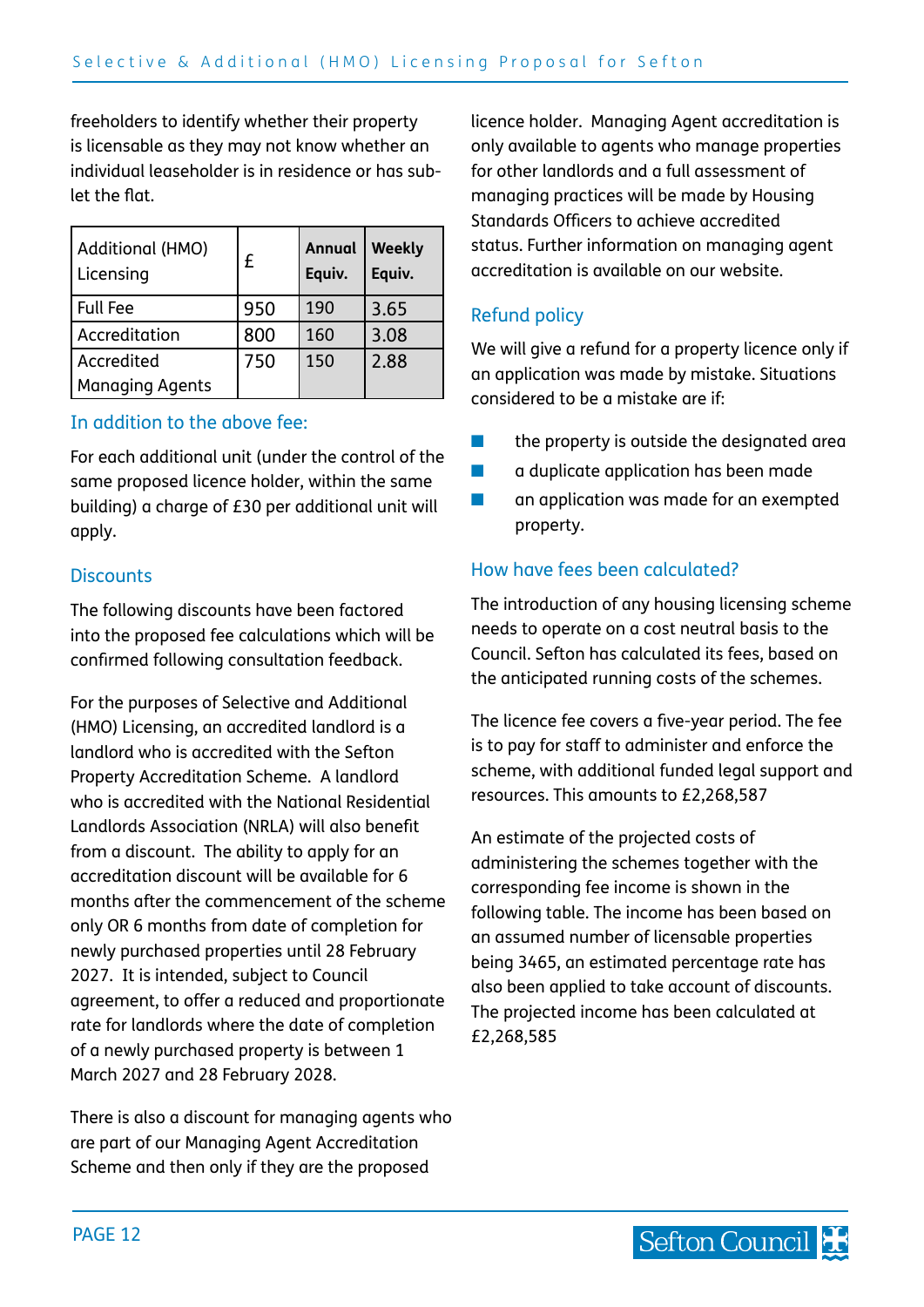freeholders to identify whether their property is licensable as they may not know whether an individual leaseholder is in residence or has sublet the flat.

| Additional (HMO)<br>Licensing | £   | Annual<br>Equiv. | Weekly<br>Equiv. |
|-------------------------------|-----|------------------|------------------|
| <b>Full Fee</b>               | 950 | 190              | 3.65             |
| Accreditation                 | 800 | 160              | 3.08             |
| Accredited                    | 750 | 150              | 2.88             |
| <b>Managing Agents</b>        |     |                  |                  |

#### In addition to the above fee:

For each additional unit (under the control of the same proposed licence holder, within the same building) a charge of £30 per additional unit will apply.

#### **Discounts**

The following discounts have been factored into the proposed fee calculations which will be confirmed following consultation feedback.

For the purposes of Selective and Additional (HMO) Licensing, an accredited landlord is a landlord who is accredited with the Sefton Property Accreditation Scheme. A landlord who is accredited with the National Residential Landlords Association (NRLA) will also benefit from a discount. The ability to apply for an accreditation discount will be available for 6 months after the commencement of the scheme only OR 6 months from date of completion for newly purchased properties until 28 February 2027. It is intended, subject to Council agreement, to offer a reduced and proportionate rate for landlords where the date of completion of a newly purchased property is between 1 March 2027 and 28 February 2028.

There is also a discount for managing agents who are part of our Managing Agent Accreditation Scheme and then only if they are the proposed

licence holder. Managing Agent accreditation is only available to agents who manage properties for other landlords and a full assessment of managing practices will be made by Housing Standards Officers to achieve accredited status. Further information on managing agent accreditation is available on our website.

#### Refund policy

We will give a refund for a property licence only if an application was made by mistake. Situations considered to be a mistake are if:

- the property is outside the designated area
- a duplicate application has been made
- an application was made for an exempted property.

#### How have fees been calculated?

The introduction of any housing licensing scheme needs to operate on a cost neutral basis to the Council. Sefton has calculated its fees, based on the anticipated running costs of the schemes.

The licence fee covers a five-year period. The fee is to pay for staff to administer and enforce the scheme, with additional funded legal support and resources. This amounts to £2,268,587

An estimate of the projected costs of administering the schemes together with the corresponding fee income is shown in the following table. The income has been based on an assumed number of licensable properties being 3465, an estimated percentage rate has also been applied to take account of discounts. The projected income has been calculated at £2,268,585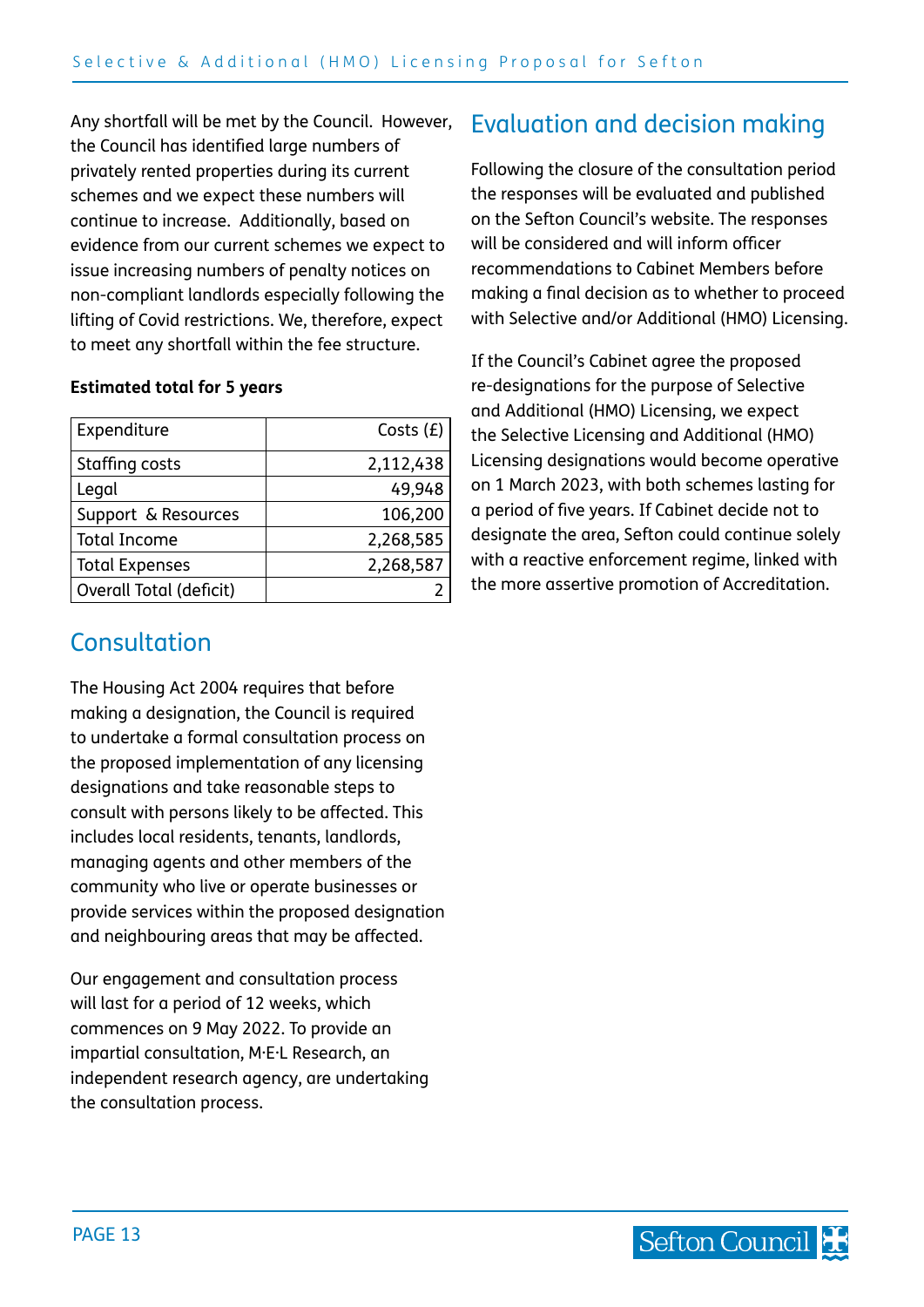<span id="page-12-0"></span>Any shortfall will be met by the Council. However, the Council has identified large numbers of privately rented properties during its current schemes and we expect these numbers will continue to increase. Additionally, based on evidence from our current schemes we expect to issue increasing numbers of penalty notices on non-compliant landlords especially following the lifting of Covid restrictions. We, therefore, expect to meet any shortfall within the fee structure.

#### **Estimated total for 5 years**

| Expenditure             | Costs $(E)$ |
|-------------------------|-------------|
| Staffing costs          | 2,112,438   |
| Legal                   | 49,948      |
| Support & Resources     | 106,200     |
| <b>Total Income</b>     | 2,268,585   |
| <b>Total Expenses</b>   | 2,268,587   |
| Overall Total (deficit) |             |

# Consultation

The Housing Act 2004 requires that before making a designation, the Council is required to undertake a formal consultation process on the proposed implementation of any licensing designations and take reasonable steps to consult with persons likely to be affected. This includes local residents, tenants, landlords, managing agents and other members of the community who live or operate businesses or provide services within the proposed designation and neighbouring areas that may be affected.

Our engagement and consultation process will last for a period of 12 weeks, which commences on 9 May 2022. To provide an impartial consultation, M·E·L Research, an independent research agency, are undertaking the consultation process.

# Evaluation and decision making

Following the closure of the consultation period the responses will be evaluated and published on the Sefton Council's website. The responses will be considered and will inform officer recommendations to Cabinet Members before making a final decision as to whether to proceed with Selective and/or Additional (HMO) Licensing.

If the Council's Cabinet agree the proposed re-designations for the purpose of Selective and Additional (HMO) Licensing, we expect the Selective Licensing and Additional (HMO) Licensing designations would become operative on 1 March 2023, with both schemes lasting for a period of five years. If Cabinet decide not to designate the area, Sefton could continue solely with a reactive enforcement regime, linked with the more assertive promotion of Accreditation.